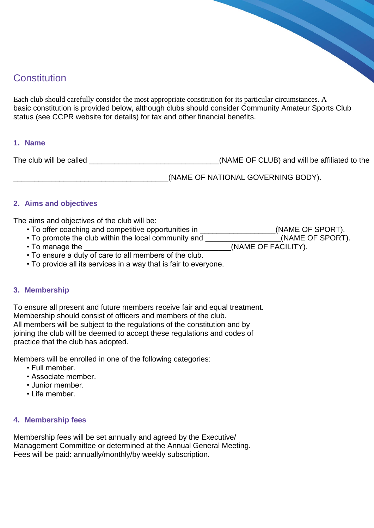# **Constitution**

Each club should carefully consider the most appropriate constitution for its particular circumstances. A basic constitution is provided below, although clubs should consider Community Amateur Sports Club status (see CCPR website for details) for tax and other financial benefits.

#### **1. Name**

| The club will be called | (NAME OF CLUB) and will be affiliated to the |  |  |
|-------------------------|----------------------------------------------|--|--|
|                         |                                              |  |  |

\_\_\_\_\_\_\_\_\_\_\_\_\_\_\_\_\_\_\_\_\_\_\_\_\_\_\_\_\_\_\_\_\_\_\_\_\_(NAME OF NATIONAL GOVERNING BODY).

## **2. Aims and objectives**

The aims and objectives of the club will be:

- To offer coaching and competitive opportunities in \_\_\_\_\_\_\_\_\_\_\_\_\_\_\_\_\_\_\_(NAME OF SPORT).
- To promote the club within the local community and \_\_\_\_\_\_\_\_\_\_\_\_\_\_\_\_\_(NAME OF SPORT).
- To manage the **EXECUTY**).
- To ensure a duty of care to all members of the club.
- To provide all its services in a way that is fair to everyone.

## **3. Membership**

To ensure all present and future members receive fair and equal treatment. Membership should consist of officers and members of the club. All members will be subject to the regulations of the constitution and by joining the club will be deemed to accept these regulations and codes of practice that the club has adopted.

Members will be enrolled in one of the following categories:

- Full member.
- Associate member.
- Junior member.
- Life member.

## **4. Membership fees**

Membership fees will be set annually and agreed by the Executive/ Management Committee or determined at the Annual General Meeting. Fees will be paid: annually/monthly/by weekly subscription.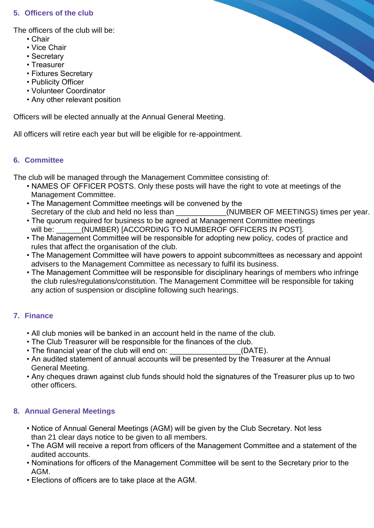### **5. Officers of the club**

The officers of the club will be:

- Chair
- Vice Chair
- Secretary
- Treasurer
- Fixtures Secretary
- Publicity Officer
- Volunteer Coordinator
- Any other relevant position

Officers will be elected annually at the Annual General Meeting.

All officers will retire each year but will be eligible for re-appointment.

#### **6. Committee**

The club will be managed through the Management Committee consisting of:

- NAMES OF OFFICER POSTS. Only these posts will have the right to vote at meetings of the Management Committee.
- The Management Committee meetings will be convened by the Secretary of the club and held no less than  $\blacksquare$  (NUMBER OF MEETINGS) times per year.
- The quorum required for business to be agreed at Management Committee meetings will be: (NUMBER) [ACCORDING TO NUMBEROF OFFICERS IN POST].
- The Management Committee will be responsible for adopting new policy, codes of practice and rules that affect the organisation of the club.
- The Management Committee will have powers to appoint subcommittees as necessary and appoint advisers to the Management Committee as necessary to fulfil its business.
- The Management Committee will be responsible for disciplinary hearings of members who infringe the club rules/regulations/constitution. The Management Committee will be responsible for taking any action of suspension or discipline following such hearings.

## **7. Finance**

- All club monies will be banked in an account held in the name of the club.
- The Club Treasurer will be responsible for the finances of the club.
- The financial year of the club will end on:  $(DATE)$ .
- An audited statement of annual accounts will be presented by the Treasurer at the Annual General Meeting.
- Any cheques drawn against club funds should hold the signatures of the Treasurer plus up to two other officers.

## **8. Annual General Meetings**

- Notice of Annual General Meetings (AGM) will be given by the Club Secretary. Not less than 21 clear days notice to be given to all members.
- The AGM will receive a report from officers of the Management Committee and a statement of the audited accounts.
- Nominations for officers of the Management Committee will be sent to the Secretary prior to the AGM.
- Elections of officers are to take place at the AGM.